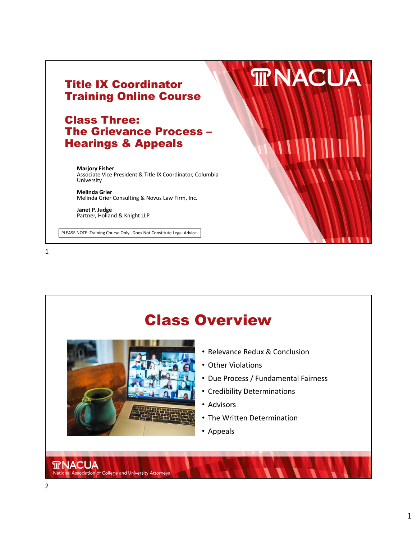

### Class Three: The Grievance Process – Hearings & Appeals

**Marjory Fisher** Associate Vice President & Title IX Coordinator, Columbia University

**Melinda Grier** Melinda Grier Consulting & Novus Law Firm, Inc.

**Janet P. Judge** Partner, Holland & Knight LLP

PLEASE NOTE: Training Course Only. Does Not Constitute Legal Advice.

1



**TRNACUA**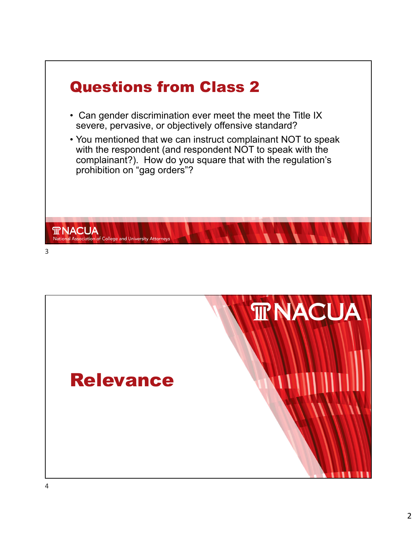

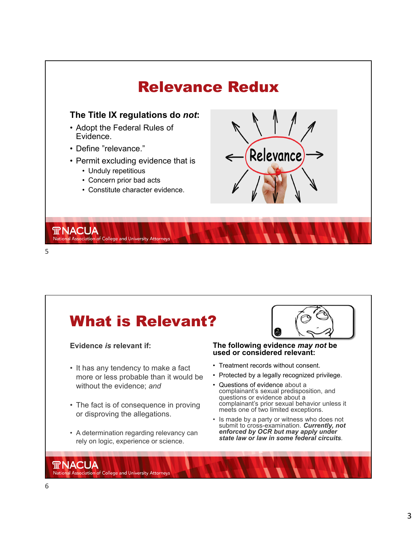

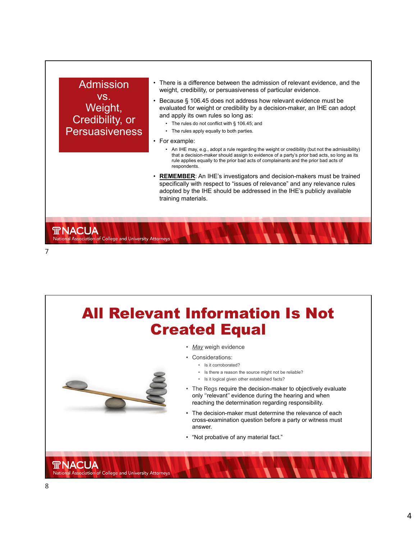

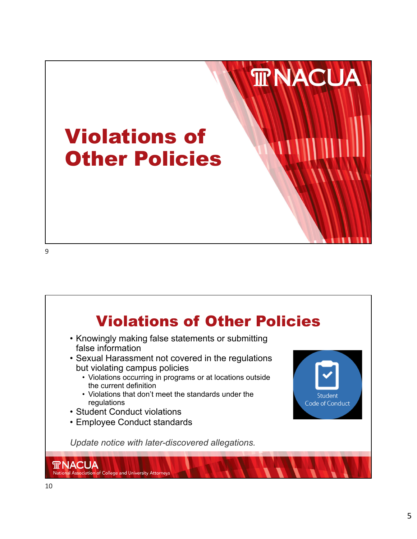



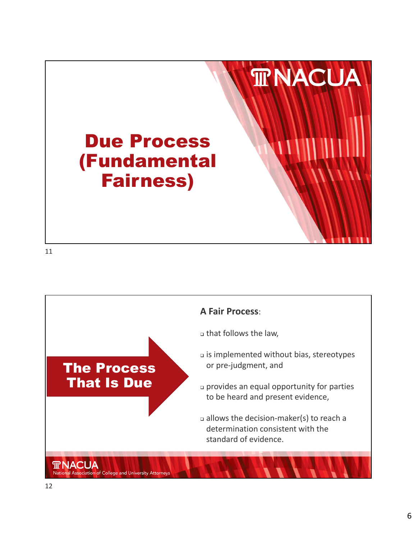

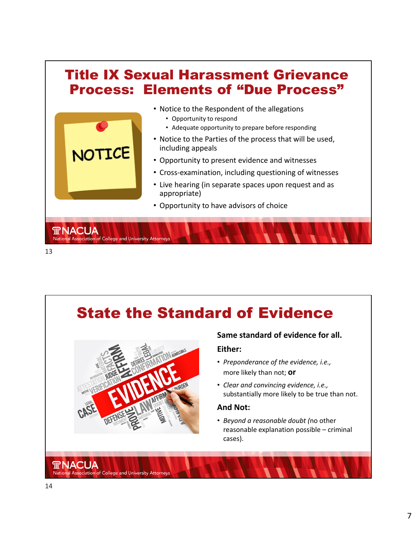

### State the Standard of Evidence



#### **Same standard of evidence for all.**

#### **Either:**

- *Preponderance of the evidence, i.e.,* more likely than not; **or**
- *Clear and convincing evidence, i.e.,* substantially more likely to be true than not.

#### **And Not:**

• *Beyond a reasonable doubt (*no other reasonable explanation possible – criminal cases).

**TRNACUA** 

National Association of College and University Attorneys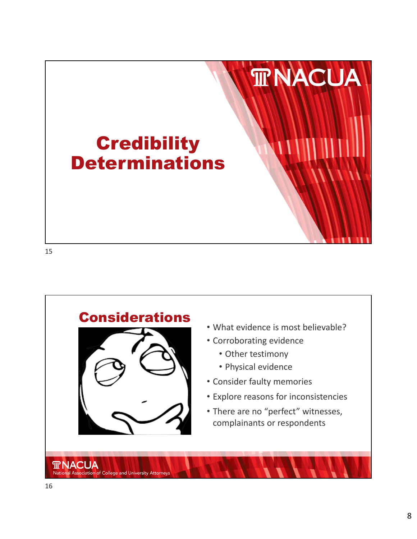

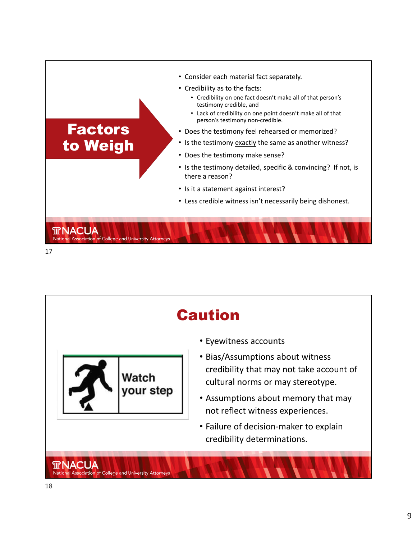

Caution • Eyewitness accounts • Bias/Assumptions about witness credibility that may not take account of Watch cultural norms or may stereotype. your step • Assumptions about memory that may not reflect witness experiences. • Failure of decision‐maker to explain credibility determinations. **TRNACUA** National Association of College and University Attorneys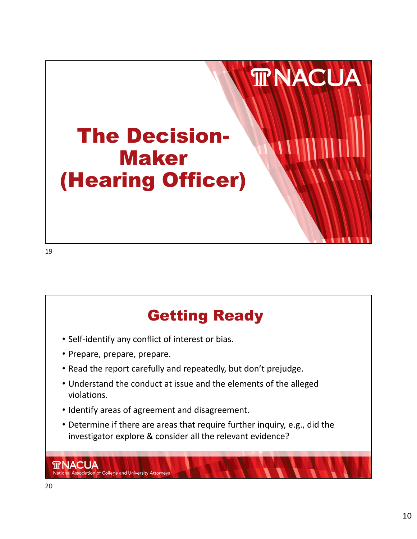

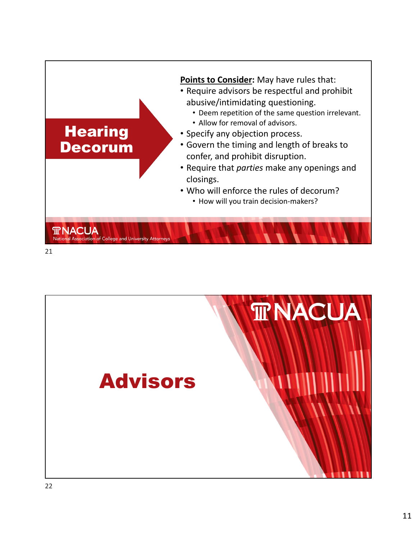

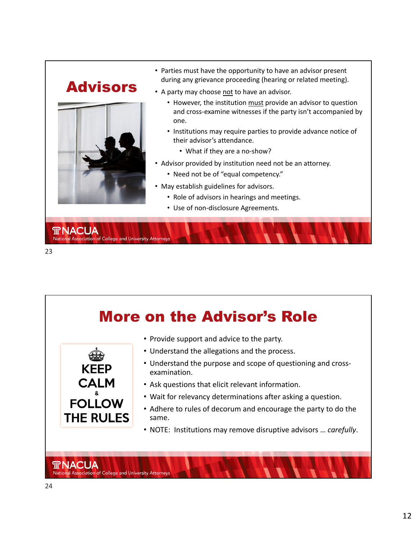## Advisors



National Association of College and University Attorneys

- Parties must have the opportunity to have an advisor present during any grievance proceeding (hearing or related meeting).
- A party may choose not to have an advisor.
	- However, the institution must provide an advisor to question and cross-examine witnesses if the party isn't accompanied by one.
	- Institutions may require parties to provide advance notice of their advisor's attendance.
		- What if they are a no-show?
- Advisor provided by institution need not be an attorney.
	- Need not be of "equal competency."
- May establish guidelines for advisors.
	- Role of advisors in hearings and meetings.
	- Use of non‐disclosure Agreements.



**TRNACUA** 

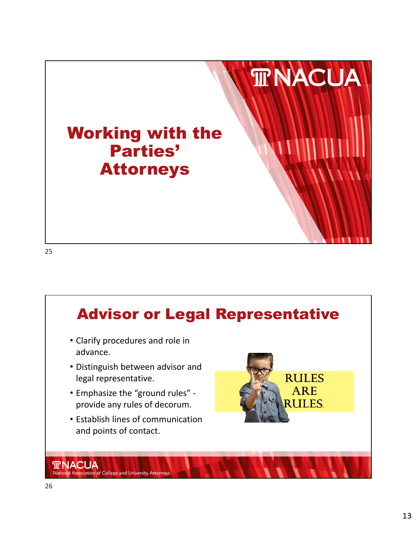

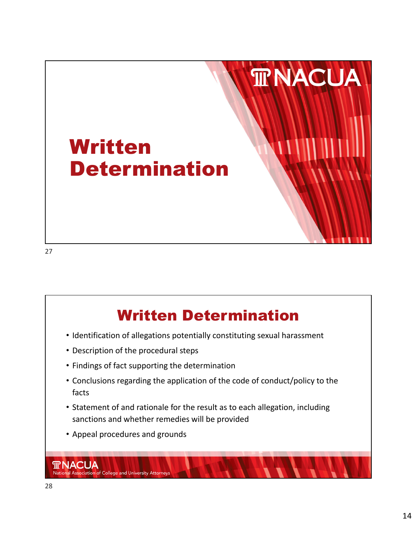

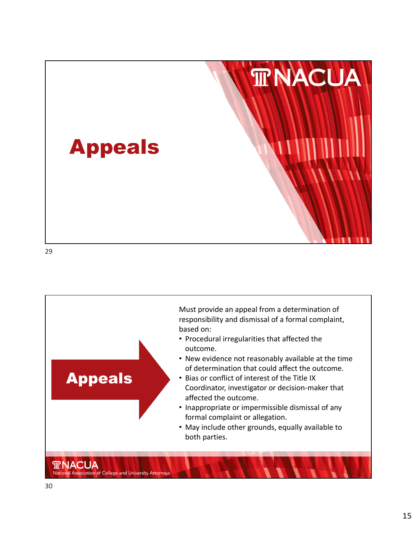

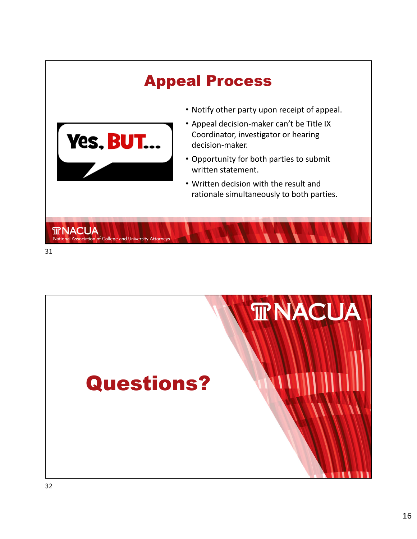